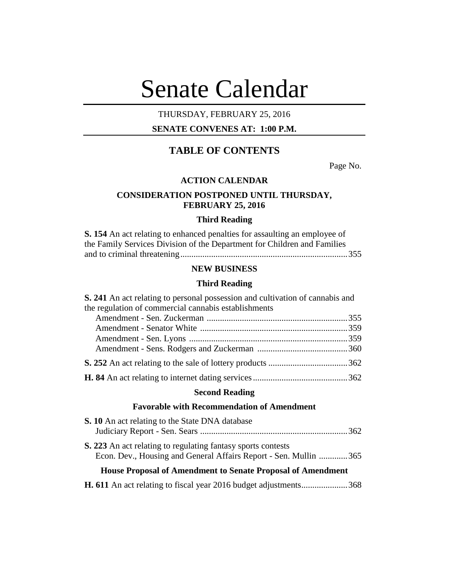# Senate Calendar

# THURSDAY, FEBRUARY 25, 2016

## **SENATE CONVENES AT: 1:00 P.M.**

# **TABLE OF CONTENTS**

Page No.

## **ACTION CALENDAR**

## **CONSIDERATION POSTPONED UNTIL THURSDAY, FEBRUARY 25, 2016**

## **Third Reading**

| <b>S. 154</b> An act relating to enhanced penalties for assaulting an employee of |
|-----------------------------------------------------------------------------------|
| the Family Services Division of the Department for Children and Families          |
|                                                                                   |

## **NEW BUSINESS**

## **Third Reading**

| S. 241 An act relating to personal possession and cultivation of cannabis and |  |  |  |  |
|-------------------------------------------------------------------------------|--|--|--|--|
| the regulation of commercial cannabis establishments                          |  |  |  |  |
|                                                                               |  |  |  |  |
|                                                                               |  |  |  |  |
|                                                                               |  |  |  |  |
|                                                                               |  |  |  |  |
|                                                                               |  |  |  |  |
|                                                                               |  |  |  |  |
| $\mathbb{C}_{\text{bound}}$ $\mathbb{D}_{\text{total}}$                       |  |  |  |  |

#### **Second Reading**

## **Favorable with Recommendation of Amendment**

| <b>S. 10</b> An act relating to the State DNA database             |  |
|--------------------------------------------------------------------|--|
|                                                                    |  |
| S. 223 An act relating to regulating fantasy sports contests       |  |
| Econ. Dev., Housing and General Affairs Report - Sen. Mullin 365   |  |
| <b>House Proposal of Amendment to Senate Proposal of Amendment</b> |  |

**H. 611** An act relating to fiscal year 2016 budget adjustments.....................368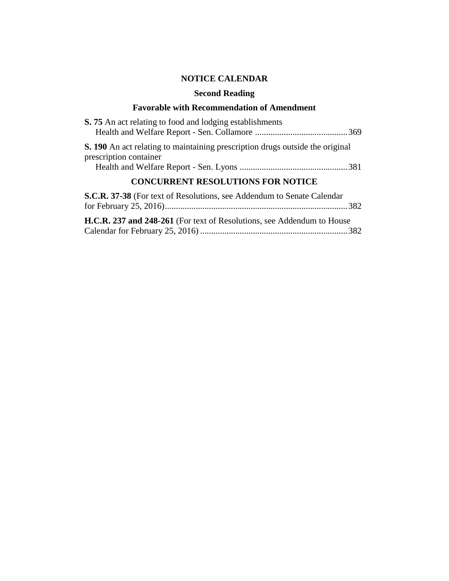# **NOTICE CALENDAR**

## **Second Reading**

## **Favorable with Recommendation of Amendment**

| <b>S.</b> 75 An act relating to food and lodging establishments                                         |  |  |  |  |
|---------------------------------------------------------------------------------------------------------|--|--|--|--|
| S. 190 An act relating to maintaining prescription drugs outside the original<br>prescription container |  |  |  |  |
| <b>CONCURRENT RESOLUTIONS FOR NOTICE</b>                                                                |  |  |  |  |
| <b>S.C.R. 37-38</b> (For text of Resolutions, see Addendum to Senate Calendar                           |  |  |  |  |
| H.C.R. 237 and 248-261 (For text of Resolutions, see Addendum to House                                  |  |  |  |  |

Calendar for February 25, 2016) ...................................................................382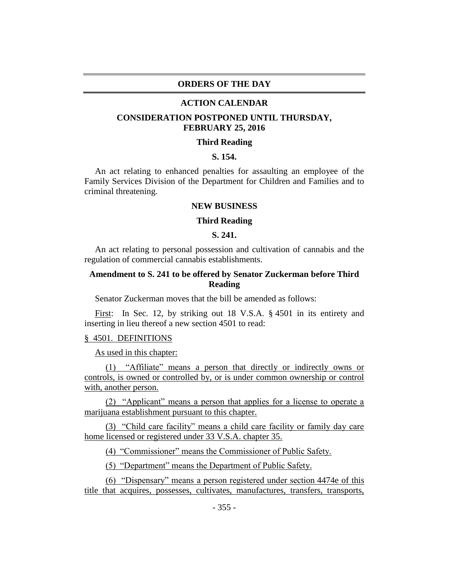## **ORDERS OF THE DAY**

#### **ACTION CALENDAR**

## **CONSIDERATION POSTPONED UNTIL THURSDAY, FEBRUARY 25, 2016**

## **Third Reading**

## **S. 154.**

An act relating to enhanced penalties for assaulting an employee of the Family Services Division of the Department for Children and Families and to criminal threatening.

## **NEW BUSINESS**

#### **Third Reading**

## **S. 241.**

An act relating to personal possession and cultivation of cannabis and the regulation of commercial cannabis establishments.

## **Amendment to S. 241 to be offered by Senator Zuckerman before Third Reading**

Senator Zuckerman moves that the bill be amended as follows:

First: In Sec. 12, by striking out 18 V.S.A. § 4501 in its entirety and inserting in lieu thereof a new section 4501 to read:

#### § 4501. DEFINITIONS

As used in this chapter:

(1) "Affiliate" means a person that directly or indirectly owns or controls, is owned or controlled by, or is under common ownership or control with, another person.

(2) "Applicant" means a person that applies for a license to operate a marijuana establishment pursuant to this chapter.

(3) "Child care facility" means a child care facility or family day care home licensed or registered under 33 V.S.A. chapter 35.

(4) "Commissioner" means the Commissioner of Public Safety.

(5) "Department" means the Department of Public Safety.

(6) "Dispensary" means a person registered under section 4474e of this title that acquires, possesses, cultivates, manufactures, transfers, transports,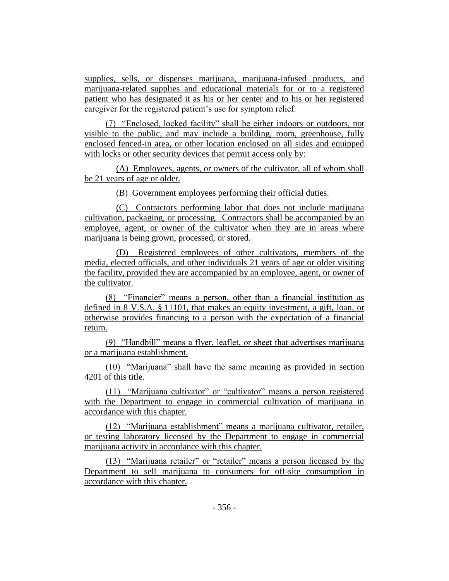supplies, sells, or dispenses marijuana, marijuana-infused products, and marijuana-related supplies and educational materials for or to a registered patient who has designated it as his or her center and to his or her registered caregiver for the registered patient's use for symptom relief.

(7) "Enclosed, locked facility" shall be either indoors or outdoors, not visible to the public, and may include a building, room, greenhouse, fully enclosed fenced-in area, or other location enclosed on all sides and equipped with locks or other security devices that permit access only by:

(A) Employees, agents, or owners of the cultivator, all of whom shall be 21 years of age or older.

(B) Government employees performing their official duties.

(C) Contractors performing labor that does not include marijuana cultivation, packaging, or processing. Contractors shall be accompanied by an employee, agent, or owner of the cultivator when they are in areas where marijuana is being grown, processed, or stored.

(D) Registered employees of other cultivators, members of the media, elected officials, and other individuals 21 years of age or older visiting the facility, provided they are accompanied by an employee, agent, or owner of the cultivator.

(8) "Financier" means a person, other than a financial institution as defined in 8 V.S.A. § 11101, that makes an equity investment, a gift, loan, or otherwise provides financing to a person with the expectation of a financial return.

(9) "Handbill" means a flyer, leaflet, or sheet that advertises marijuana or a marijuana establishment.

(10) "Marijuana" shall have the same meaning as provided in section 4201 of this title.

(11) "Marijuana cultivator" or "cultivator" means a person registered with the Department to engage in commercial cultivation of marijuana in accordance with this chapter.

(12) "Marijuana establishment" means a marijuana cultivator, retailer, or testing laboratory licensed by the Department to engage in commercial marijuana activity in accordance with this chapter.

(13) "Marijuana retailer" or "retailer" means a person licensed by the Department to sell marijuana to consumers for off-site consumption in accordance with this chapter.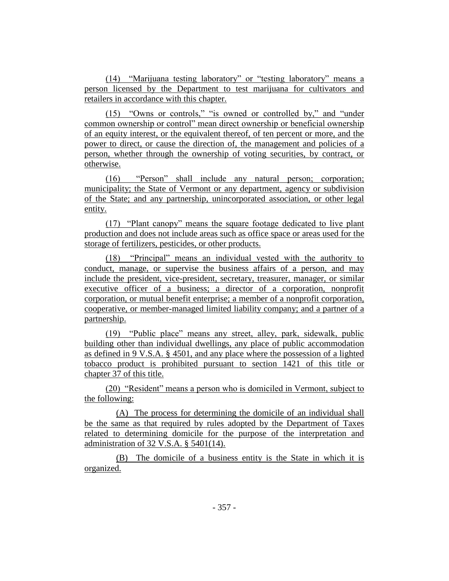(14) "Marijuana testing laboratory" or "testing laboratory" means a person licensed by the Department to test marijuana for cultivators and retailers in accordance with this chapter.

(15) "Owns or controls," "is owned or controlled by," and "under common ownership or control" mean direct ownership or beneficial ownership of an equity interest, or the equivalent thereof, of ten percent or more, and the power to direct, or cause the direction of, the management and policies of a person, whether through the ownership of voting securities, by contract, or otherwise.

(16) "Person" shall include any natural person; corporation; municipality; the State of Vermont or any department, agency or subdivision of the State; and any partnership, unincorporated association, or other legal entity.

(17) "Plant canopy" means the square footage dedicated to live plant production and does not include areas such as office space or areas used for the storage of fertilizers, pesticides, or other products.

(18) "Principal" means an individual vested with the authority to conduct, manage, or supervise the business affairs of a person, and may include the president, vice-president, secretary, treasurer, manager, or similar executive officer of a business; a director of a corporation, nonprofit corporation, or mutual benefit enterprise; a member of a nonprofit corporation, cooperative, or member-managed limited liability company; and a partner of a partnership.

(19) "Public place" means any street, alley, park, sidewalk, public building other than individual dwellings, any place of public accommodation as defined in 9 V.S.A. § 4501, and any place where the possession of a lighted tobacco product is prohibited pursuant to section 1421 of this title or chapter 37 of this title.

(20) "Resident" means a person who is domiciled in Vermont, subject to the following:

(A) The process for determining the domicile of an individual shall be the same as that required by rules adopted by the Department of Taxes related to determining domicile for the purpose of the interpretation and administration of 32 V.S.A. § 5401(14).

(B) The domicile of a business entity is the State in which it is organized.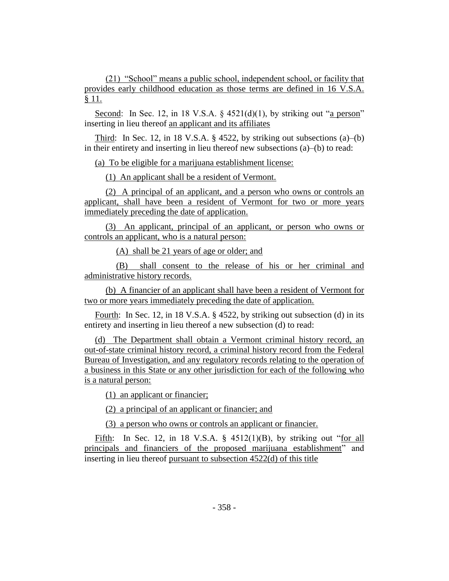(21) "School" means a public school, independent school, or facility that provides early childhood education as those terms are defined in 16 V.S.A. § 11.

Second: In Sec. 12, in 18 V.S.A.  $\S$  4521(d)(1), by striking out "a person" inserting in lieu thereof an applicant and its affiliates

Third: In Sec. 12, in 18 V.S.A.  $\S$  4522, by striking out subsections (a)–(b) in their entirety and inserting in lieu thereof new subsections (a)–(b) to read:

(a) To be eligible for a marijuana establishment license:

(1) An applicant shall be a resident of Vermont.

(2) A principal of an applicant, and a person who owns or controls an applicant, shall have been a resident of Vermont for two or more years immediately preceding the date of application.

(3) An applicant, principal of an applicant, or person who owns or controls an applicant, who is a natural person:

(A) shall be 21 years of age or older; and

(B) shall consent to the release of his or her criminal and administrative history records.

(b) A financier of an applicant shall have been a resident of Vermont for two or more years immediately preceding the date of application.

Fourth: In Sec. 12, in 18 V.S.A. § 4522, by striking out subsection (d) in its entirety and inserting in lieu thereof a new subsection (d) to read:

(d) The Department shall obtain a Vermont criminal history record, an out-of-state criminal history record, a criminal history record from the Federal Bureau of Investigation, and any regulatory records relating to the operation of a business in this State or any other jurisdiction for each of the following who is a natural person:

(1) an applicant or financier;

(2) a principal of an applicant or financier; and

(3) a person who owns or controls an applicant or financier.

Fifth: In Sec. 12, in 18 V.S.A.  $\S$  4512(1)(B), by striking out "for all principals and financiers of the proposed marijuana establishment" and inserting in lieu thereof pursuant to subsection 4522(d) of this title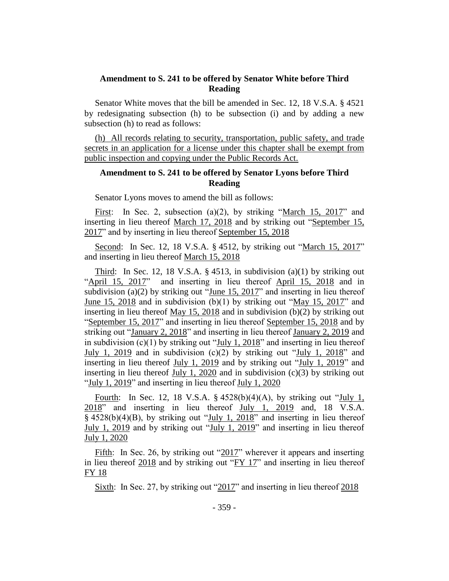## **Amendment to S. 241 to be offered by Senator White before Third Reading**

Senator White moves that the bill be amended in Sec. 12, 18 V.S.A. § 4521 by redesignating subsection (h) to be subsection (i) and by adding a new subsection (h) to read as follows:

(h) All records relating to security, transportation, public safety, and trade secrets in an application for a license under this chapter shall be exempt from public inspection and copying under the Public Records Act.

## **Amendment to S. 241 to be offered by Senator Lyons before Third Reading**

Senator Lyons moves to amend the bill as follows:

First: In Sec. 2, subsection (a)(2), by striking "March 15, 2017" and inserting in lieu thereof March 17, 2018 and by striking out "September 15, 2017" and by inserting in lieu thereof September 15, 2018

Second: In Sec. 12, 18 V.S.A. § 4512, by striking out "March 15, 2017" and inserting in lieu thereof March 15, 2018

Third: In Sec. 12, 18 V.S.A.  $\S$  4513, in subdivision (a)(1) by striking out "April 15, 2017" and inserting in lieu thereof April 15, 2018 and in subdivision (a)(2) by striking out "June 15, 2017" and inserting in lieu thereof June 15, 2018 and in subdivision (b)(1) by striking out "May 15, 2017" and inserting in lieu thereof May 15, 2018 and in subdivision (b)(2) by striking out "September 15, 2017" and inserting in lieu thereof September 15, 2018 and by striking out "January 2, 2018" and inserting in lieu thereof January 2, 2019 and in subdivision (c)(1) by striking out "July 1, 2018" and inserting in lieu thereof July 1, 2019 and in subdivision (c)(2) by striking out "July 1, 2018" and inserting in lieu thereof July 1, 2019 and by striking out "July 1, 2019" and inserting in lieu thereof July 1, 2020 and in subdivision (c)(3) by striking out "July 1,  $2019$ " and inserting in lieu thereof July 1,  $2020$ 

Fourth: In Sec. 12, 18 V.S.A. § 4528(b)(4)(A), by striking out "July 1, 2018" and inserting in lieu thereof July 1, 2019 and, 18 V.S.A. § 4528(b)(4)(B), by striking out "July 1, 2018" and inserting in lieu thereof July 1, 2019 and by striking out "July 1, 2019" and inserting in lieu thereof July 1, 2020

Fifth: In Sec. 26, by striking out "2017" wherever it appears and inserting in lieu thereof 2018 and by striking out "FY 17" and inserting in lieu thereof FY 18

Sixth: In Sec. 27, by striking out "2017" and inserting in lieu thereof 2018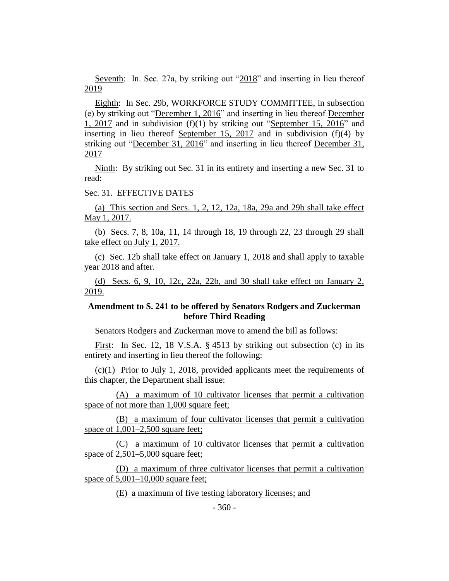Seventh: In. Sec. 27a, by striking out "2018" and inserting in lieu thereof 2019

Eighth: In Sec. 29b, WORKFORCE STUDY COMMITTEE, in subsection (e) by striking out "December 1, 2016" and inserting in lieu thereof December  $1, 2017$  and in subdivision (f)(1) by striking out "September 15, 2016" and inserting in lieu thereof September 15, 2017 and in subdivision (f)(4) by striking out "December 31, 2016" and inserting in lieu thereof December 31, 2017

Ninth: By striking out Sec. 31 in its entirety and inserting a new Sec. 31 to read:

## Sec. 31. EFFECTIVE DATES

(a) This section and Secs. 1, 2, 12, 12a, 18a, 29a and 29b shall take effect May 1, 2017.

(b) Secs. 7, 8, 10a, 11, 14 through 18, 19 through 22, 23 through 29 shall take effect on July 1, 2017.

(c) Sec. 12b shall take effect on January 1, 2018 and shall apply to taxable year 2018 and after.

(d) Secs. 6, 9, 10, 12c, 22a, 22b, and 30 shall take effect on January 2, 2019.

## **Amendment to S. 241 to be offered by Senators Rodgers and Zuckerman before Third Reading**

Senators Rodgers and Zuckerman move to amend the bill as follows:

First: In Sec. 12, 18 V.S.A. § 4513 by striking out subsection (c) in its entirety and inserting in lieu thereof the following:

(c)(1) Prior to July 1, 2018, provided applicants meet the requirements of this chapter, the Department shall issue:

(A) a maximum of 10 cultivator licenses that permit a cultivation space of not more than 1,000 square feet;

(B) a maximum of four cultivator licenses that permit a cultivation space of  $1,001-2,500$  square feet;

(C) a maximum of 10 cultivator licenses that permit a cultivation space of 2,501–5,000 square feet;

(D) a maximum of three cultivator licenses that permit a cultivation space of  $5,001-10,000$  square feet;

(E) a maximum of five testing laboratory licenses; and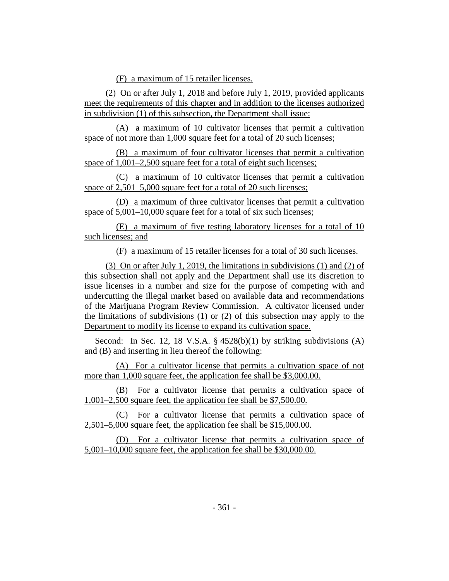(F) a maximum of 15 retailer licenses.

(2) On or after July 1, 2018 and before July 1, 2019, provided applicants meet the requirements of this chapter and in addition to the licenses authorized in subdivision (1) of this subsection, the Department shall issue:

(A) a maximum of 10 cultivator licenses that permit a cultivation space of not more than 1,000 square feet for a total of 20 such licenses;

(B) a maximum of four cultivator licenses that permit a cultivation space of 1,001–2,500 square feet for a total of eight such licenses;

(C) a maximum of 10 cultivator licenses that permit a cultivation space of 2,501–5,000 square feet for a total of 20 such licenses;

(D) a maximum of three cultivator licenses that permit a cultivation space of 5,001–10,000 square feet for a total of six such licenses;

(E) a maximum of five testing laboratory licenses for a total of 10 such licenses; and

(F) a maximum of 15 retailer licenses for a total of 30 such licenses.

(3) On or after July 1, 2019, the limitations in subdivisions (1) and (2) of this subsection shall not apply and the Department shall use its discretion to issue licenses in a number and size for the purpose of competing with and undercutting the illegal market based on available data and recommendations of the Marijuana Program Review Commission. A cultivator licensed under the limitations of subdivisions (1) or (2) of this subsection may apply to the Department to modify its license to expand its cultivation space.

Second: In Sec. 12, 18 V.S.A.  $\S$  4528(b)(1) by striking subdivisions (A) and (B) and inserting in lieu thereof the following:

(A) For a cultivator license that permits a cultivation space of not more than 1,000 square feet, the application fee shall be \$3,000.00.

(B) For a cultivator license that permits a cultivation space of 1,001–2,500 square feet, the application fee shall be \$7,500.00.

(C) For a cultivator license that permits a cultivation space of 2,501–5,000 square feet, the application fee shall be \$15,000.00.

(D) For a cultivator license that permits a cultivation space of 5,001–10,000 square feet, the application fee shall be \$30,000.00.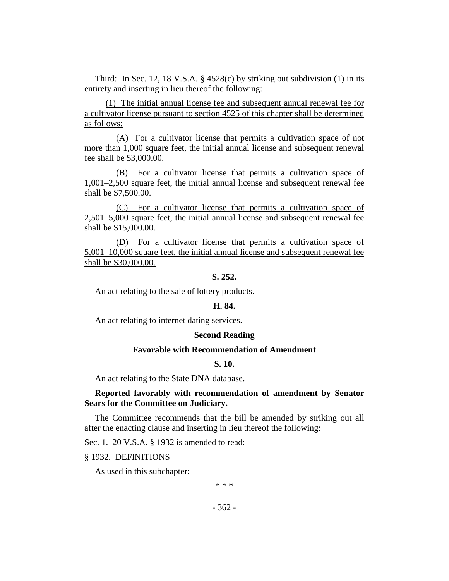Third: In Sec. 12, 18 V.S.A.  $\S$  4528(c) by striking out subdivision (1) in its entirety and inserting in lieu thereof the following:

(1) The initial annual license fee and subsequent annual renewal fee for a cultivator license pursuant to section 4525 of this chapter shall be determined as follows:

(A) For a cultivator license that permits a cultivation space of not more than 1,000 square feet, the initial annual license and subsequent renewal fee shall be \$3,000.00.

(B) For a cultivator license that permits a cultivation space of 1,001–2,500 square feet, the initial annual license and subsequent renewal fee shall be \$7,500.00.

(C) For a cultivator license that permits a cultivation space of 2,501–5,000 square feet, the initial annual license and subsequent renewal fee shall be \$15,000.00.

(D) For a cultivator license that permits a cultivation space of 5,001–10,000 square feet, the initial annual license and subsequent renewal fee shall be \$30,000.00.

## **S. 252.**

An act relating to the sale of lottery products.

## **H. 84.**

An act relating to internet dating services.

#### **Second Reading**

#### **Favorable with Recommendation of Amendment**

#### **S. 10.**

An act relating to the State DNA database.

## **Reported favorably with recommendation of amendment by Senator Sears for the Committee on Judiciary.**

The Committee recommends that the bill be amended by striking out all after the enacting clause and inserting in lieu thereof the following:

Sec. 1. 20 V.S.A. § 1932 is amended to read:

§ 1932. DEFINITIONS

As used in this subchapter:

\* \* \*

 $-362 -$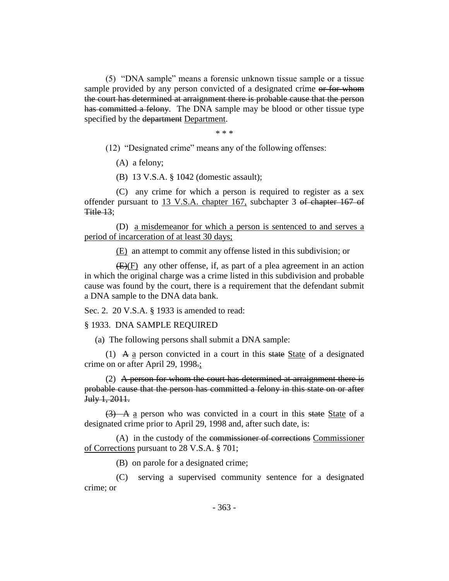(5) "DNA sample" means a forensic unknown tissue sample or a tissue sample provided by any person convicted of a designated crime or for whom the court has determined at arraignment there is probable cause that the person has committed a felony. The DNA sample may be blood or other tissue type specified by the department Department.

\* \* \*

(12) "Designated crime" means any of the following offenses:

(A) a felony;

(B) 13 V.S.A. § 1042 (domestic assault);

(C) any crime for which a person is required to register as a sex offender pursuant to 13 V.S.A. chapter 167, subchapter 3 of chapter 167 of Title 13;

(D) a misdemeanor for which a person is sentenced to and serves a period of incarceration of at least 30 days;

(E) an attempt to commit any offense listed in this subdivision; or

 $(E)(F)$  any other offense, if, as part of a plea agreement in an action in which the original charge was a crime listed in this subdivision and probable cause was found by the court, there is a requirement that the defendant submit a DNA sample to the DNA data bank.

Sec. 2. 20 V.S.A. § 1933 is amended to read:

§ 1933. DNA SAMPLE REQUIRED

(a) The following persons shall submit a DNA sample:

(1) A  $\alpha$  person convicted in a court in this state State of a designated crime on or after April 29, 1998.;

(2) A person for whom the court has determined at arraignment there is probable cause that the person has committed a felony in this state on or after July 1, 2011.

 $(3)$  A a person who was convicted in a court in this state State of a designated crime prior to April 29, 1998 and, after such date, is:

(A) in the custody of the commissioner of corrections Commissioner of Corrections pursuant to 28 V.S.A. § 701;

(B) on parole for a designated crime;

(C) serving a supervised community sentence for a designated crime; or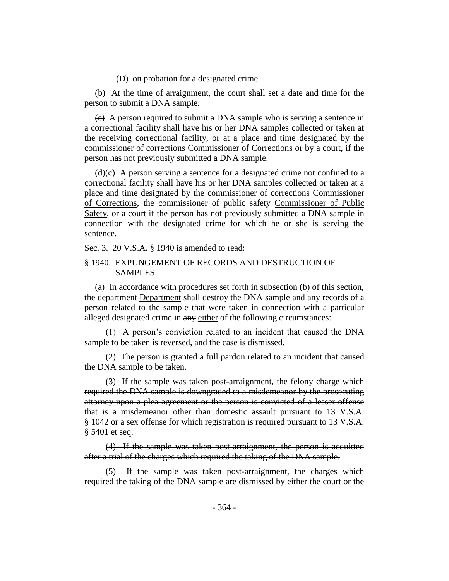(D) on probation for a designated crime.

(b) At the time of arraignment, the court shall set a date and time for the person to submit a DNA sample.

 $\left\langle \epsilon \right\rangle$  A person required to submit a DNA sample who is serving a sentence in a correctional facility shall have his or her DNA samples collected or taken at the receiving correctional facility, or at a place and time designated by the commissioner of corrections Commissioner of Corrections or by a court, if the person has not previously submitted a DNA sample.

 $(d)(c)$  A person serving a sentence for a designated crime not confined to a correctional facility shall have his or her DNA samples collected or taken at a place and time designated by the commissioner of corrections Commissioner of Corrections, the commissioner of public safety Commissioner of Public Safety, or a court if the person has not previously submitted a DNA sample in connection with the designated crime for which he or she is serving the sentence.

Sec. 3. 20 V.S.A. § 1940 is amended to read:

## § 1940. EXPUNGEMENT OF RECORDS AND DESTRUCTION OF SAMPLES

(a) In accordance with procedures set forth in subsection (b) of this section, the department Department shall destroy the DNA sample and any records of a person related to the sample that were taken in connection with a particular alleged designated crime in any either of the following circumstances:

(1) A person's conviction related to an incident that caused the DNA sample to be taken is reversed, and the case is dismissed.

(2) The person is granted a full pardon related to an incident that caused the DNA sample to be taken.

(3) If the sample was taken post-arraignment, the felony charge which required the DNA sample is downgraded to a misdemeanor by the prosecuting attorney upon a plea agreement or the person is convicted of a lesser offense that is a misdemeanor other than domestic assault pursuant to 13 V.S.A. § 1042 or a sex offense for which registration is required pursuant to 13 V.S.A. § 5401 et seq.

(4) If the sample was taken post-arraignment, the person is acquitted after a trial of the charges which required the taking of the DNA sample.

(5) If the sample was taken post-arraignment, the charges which required the taking of the DNA sample are dismissed by either the court or the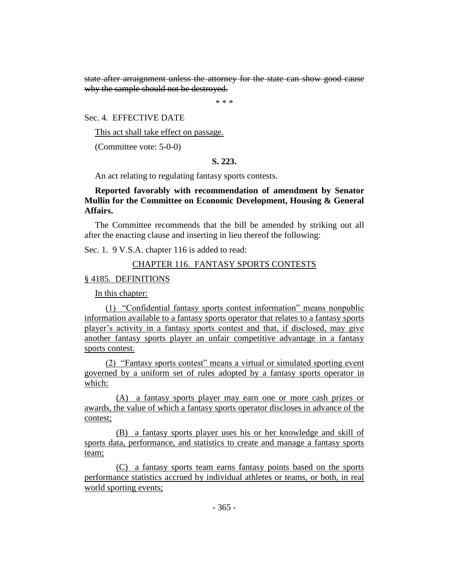state after arraignment unless the attorney for the state can show good cause why the sample should not be destroyed.

\* \* \*

Sec. 4. EFFECTIVE DATE

This act shall take effect on passage.

(Committee vote: 5-0-0)

## **S. 223.**

An act relating to regulating fantasy sports contests.

## **Reported favorably with recommendation of amendment by Senator Mullin for the Committee on Economic Development, Housing & General Affairs.**

The Committee recommends that the bill be amended by striking out all after the enacting clause and inserting in lieu thereof the following:

Sec. 1. 9 V.S.A. chapter 116 is added to read:

## CHAPTER 116. FANTASY SPORTS CONTESTS

## § 4185. DEFINITIONS

In this chapter:

(1) "Confidential fantasy sports contest information" means nonpublic information available to a fantasy sports operator that relates to a fantasy sports player's activity in a fantasy sports contest and that, if disclosed, may give another fantasy sports player an unfair competitive advantage in a fantasy sports contest.

(2) "Fantasy sports contest" means a virtual or simulated sporting event governed by a uniform set of rules adopted by a fantasy sports operator in which:

(A) a fantasy sports player may earn one or more cash prizes or awards, the value of which a fantasy sports operator discloses in advance of the contest;

(B) a fantasy sports player uses his or her knowledge and skill of sports data, performance, and statistics to create and manage a fantasy sports team;

(C) a fantasy sports team earns fantasy points based on the sports performance statistics accrued by individual athletes or teams, or both, in real world sporting events;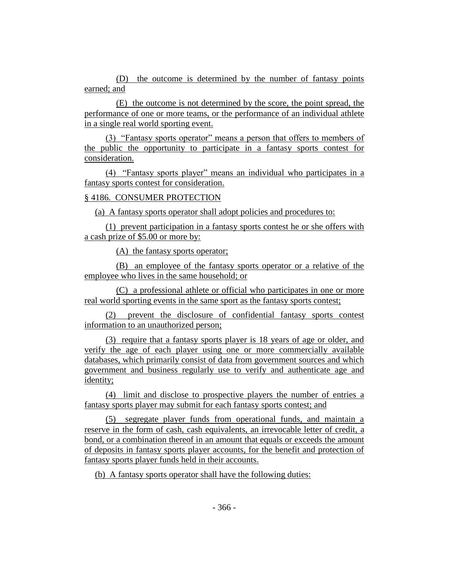(D) the outcome is determined by the number of fantasy points earned; and

(E) the outcome is not determined by the score, the point spread, the performance of one or more teams, or the performance of an individual athlete in a single real world sporting event.

(3) "Fantasy sports operator" means a person that offers to members of the public the opportunity to participate in a fantasy sports contest for consideration.

(4) "Fantasy sports player" means an individual who participates in a fantasy sports contest for consideration.

## § 4186. CONSUMER PROTECTION

(a) A fantasy sports operator shall adopt policies and procedures to:

(1) prevent participation in a fantasy sports contest he or she offers with a cash prize of \$5.00 or more by:

(A) the fantasy sports operator;

(B) an employee of the fantasy sports operator or a relative of the employee who lives in the same household; or

(C) a professional athlete or official who participates in one or more real world sporting events in the same sport as the fantasy sports contest;

(2) prevent the disclosure of confidential fantasy sports contest information to an unauthorized person;

(3) require that a fantasy sports player is 18 years of age or older, and verify the age of each player using one or more commercially available databases, which primarily consist of data from government sources and which government and business regularly use to verify and authenticate age and identity;

(4) limit and disclose to prospective players the number of entries a fantasy sports player may submit for each fantasy sports contest; and

(5) segregate player funds from operational funds, and maintain a reserve in the form of cash, cash equivalents, an irrevocable letter of credit, a bond, or a combination thereof in an amount that equals or exceeds the amount of deposits in fantasy sports player accounts, for the benefit and protection of fantasy sports player funds held in their accounts.

(b) A fantasy sports operator shall have the following duties: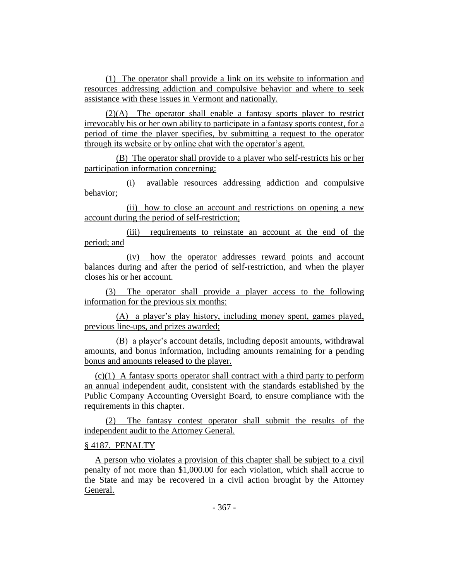(1) The operator shall provide a link on its website to information and resources addressing addiction and compulsive behavior and where to seek assistance with these issues in Vermont and nationally.

(2)(A) The operator shall enable a fantasy sports player to restrict irrevocably his or her own ability to participate in a fantasy sports contest, for a period of time the player specifies, by submitting a request to the operator through its website or by online chat with the operator's agent.

(B) The operator shall provide to a player who self-restricts his or her participation information concerning:

(i) available resources addressing addiction and compulsive behavior;

(ii) how to close an account and restrictions on opening a new account during the period of self-restriction;

(iii) requirements to reinstate an account at the end of the period; and

(iv) how the operator addresses reward points and account balances during and after the period of self-restriction, and when the player closes his or her account.

(3) The operator shall provide a player access to the following information for the previous six months:

(A) a player's play history, including money spent, games played, previous line-ups, and prizes awarded;

(B) a player's account details, including deposit amounts, withdrawal amounts, and bonus information, including amounts remaining for a pending bonus and amounts released to the player.

(c)(1) A fantasy sports operator shall contract with a third party to perform an annual independent audit, consistent with the standards established by the Public Company Accounting Oversight Board, to ensure compliance with the requirements in this chapter.

(2) The fantasy contest operator shall submit the results of the independent audit to the Attorney General.

## § 4187. PENALTY

A person who violates a provision of this chapter shall be subject to a civil penalty of not more than \$1,000.00 for each violation, which shall accrue to the State and may be recovered in a civil action brought by the Attorney General.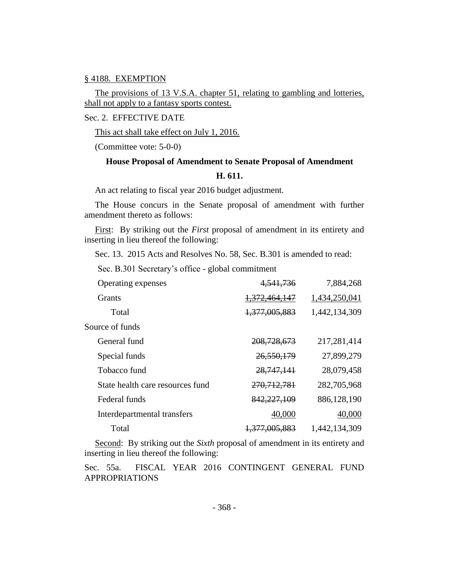## § 4188. EXEMPTION

The provisions of 13 V.S.A. chapter 51, relating to gambling and lotteries, shall not apply to a fantasy sports contest.

Sec. 2. EFFECTIVE DATE

This act shall take effect on July 1, 2016.

(Committee vote: 5-0-0)

# **House Proposal of Amendment to Senate Proposal of Amendment H. 611.**

An act relating to fiscal year 2016 budget adjustment.

The House concurs in the Senate proposal of amendment with further amendment thereto as follows:

First: By striking out the *First* proposal of amendment in its entirety and inserting in lieu thereof the following:

Sec. 13. 2015 Acts and Resolves No. 58, Sec. B.301 is amended to read:

Sec. B.301 Secretary's office - global commitment

| Operating expenses               | 4,541,736                | 7,884,268     |
|----------------------------------|--------------------------|---------------|
| Grants                           | 1,372,464,147            | 1,434,250,041 |
| Total                            | 1,377,005,883            | 1,442,134,309 |
| Source of funds                  |                          |               |
| General fund                     | 208, 728, 673            | 217,281,414   |
| Special funds                    | 26,550,179               | 27,899,279    |
| Tobacco fund                     | 28, 747, 141             | 28,079,458    |
| State health care resources fund | 270, 712, 781            | 282,705,968   |
| Federal funds                    | 842, 227, 109            | 886,128,190   |
| Interdepartmental transfers      | 40,000                   | 40,000        |
| Total                            | <del>1,377,005,883</del> | 1,442,134,309 |

Second: By striking out the *Sixth* proposal of amendment in its entirety and inserting in lieu thereof the following:

Sec. 55a. FISCAL YEAR 2016 CONTINGENT GENERAL FUND APPROPRIATIONS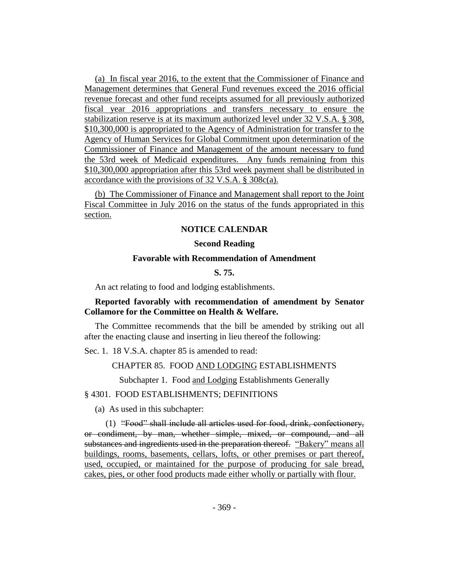(a) In fiscal year 2016, to the extent that the Commissioner of Finance and Management determines that General Fund revenues exceed the 2016 official revenue forecast and other fund receipts assumed for all previously authorized fiscal year 2016 appropriations and transfers necessary to ensure the stabilization reserve is at its maximum authorized level under 32 V.S.A. § 308, \$10,300,000 is appropriated to the Agency of Administration for transfer to the Agency of Human Services for Global Commitment upon determination of the Commissioner of Finance and Management of the amount necessary to fund the 53rd week of Medicaid expenditures. Any funds remaining from this \$10,300,000 appropriation after this 53rd week payment shall be distributed in accordance with the provisions of 32 V.S.A. § 308c(a).

(b) The Commissioner of Finance and Management shall report to the Joint Fiscal Committee in July 2016 on the status of the funds appropriated in this section.

## **NOTICE CALENDAR**

#### **Second Reading**

## **Favorable with Recommendation of Amendment**

**S. 75.**

An act relating to food and lodging establishments.

## **Reported favorably with recommendation of amendment by Senator Collamore for the Committee on Health & Welfare.**

The Committee recommends that the bill be amended by striking out all after the enacting clause and inserting in lieu thereof the following:

Sec. 1. 18 V.S.A. chapter 85 is amended to read:

CHAPTER 85. FOOD AND LODGING ESTABLISHMENTS

Subchapter 1. Food and Lodging Establishments Generally

## § 4301. FOOD ESTABLISHMENTS; DEFINITIONS

(a) As used in this subchapter:

(1) "Food" shall include all articles used for food, drink, confectionery, or condiment, by man, whether simple, mixed, or compound, and all substances and ingredients used in the preparation thereof. "Bakery" means all buildings, rooms, basements, cellars, lofts, or other premises or part thereof, used, occupied, or maintained for the purpose of producing for sale bread, cakes, pies, or other food products made either wholly or partially with flour.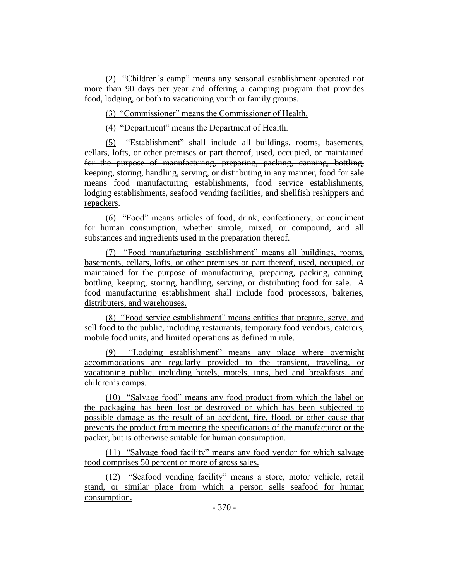(2) "Children's camp" means any seasonal establishment operated not more than 90 days per year and offering a camping program that provides food, lodging, or both to vacationing youth or family groups.

(3) "Commissioner" means the Commissioner of Health.

(4) "Department" means the Department of Health.

(5) "Establishment" shall include all buildings, rooms, basements, cellars, lofts, or other premises or part thereof, used, occupied, or maintained for the purpose of manufacturing, preparing, packing, canning, bottling, keeping, storing, handling, serving, or distributing in any manner, food for sale means food manufacturing establishments, food service establishments, lodging establishments, seafood vending facilities, and shellfish reshippers and repackers.

(6) "Food" means articles of food, drink, confectionery, or condiment for human consumption, whether simple, mixed, or compound, and all substances and ingredients used in the preparation thereof.

(7) "Food manufacturing establishment" means all buildings, rooms, basements, cellars, lofts, or other premises or part thereof, used, occupied, or maintained for the purpose of manufacturing, preparing, packing, canning, bottling, keeping, storing, handling, serving, or distributing food for sale. A food manufacturing establishment shall include food processors, bakeries, distributers, and warehouses.

(8) "Food service establishment" means entities that prepare, serve, and sell food to the public, including restaurants, temporary food vendors, caterers, mobile food units, and limited operations as defined in rule.

(9) "Lodging establishment" means any place where overnight accommodations are regularly provided to the transient, traveling, or vacationing public, including hotels, motels, inns, bed and breakfasts, and children's camps.

(10) "Salvage food" means any food product from which the label on the packaging has been lost or destroyed or which has been subjected to possible damage as the result of an accident, fire, flood, or other cause that prevents the product from meeting the specifications of the manufacturer or the packer, but is otherwise suitable for human consumption.

(11) "Salvage food facility" means any food vendor for which salvage food comprises 50 percent or more of gross sales.

(12) "Seafood vending facility" means a store, motor vehicle, retail stand, or similar place from which a person sells seafood for human consumption.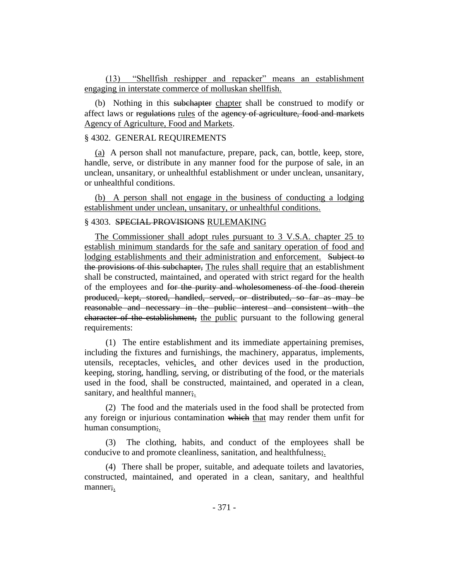(13) "Shellfish reshipper and repacker" means an establishment engaging in interstate commerce of molluskan shellfish.

(b) Nothing in this subchapter chapter shall be construed to modify or affect laws or regulations rules of the agency of agriculture, food and markets Agency of Agriculture, Food and Markets.

## § 4302. GENERAL REQUIREMENTS

(a) A person shall not manufacture, prepare, pack, can, bottle, keep, store, handle, serve, or distribute in any manner food for the purpose of sale, in an unclean, unsanitary, or unhealthful establishment or under unclean, unsanitary, or unhealthful conditions.

(b) A person shall not engage in the business of conducting a lodging establishment under unclean, unsanitary, or unhealthful conditions.

## § 4303. SPECIAL PROVISIONS RULEMAKING

The Commissioner shall adopt rules pursuant to 3 V.S.A. chapter 25 to establish minimum standards for the safe and sanitary operation of food and lodging establishments and their administration and enforcement. Subject to the provisions of this subchapter, The rules shall require that an establishment shall be constructed, maintained, and operated with strict regard for the health of the employees and for the purity and wholesomeness of the food therein produced, kept, stored, handled, served, or distributed, so far as may be reasonable and necessary in the public interest and consistent with the character of the establishment, the public pursuant to the following general requirements:

(1) The entire establishment and its immediate appertaining premises, including the fixtures and furnishings, the machinery, apparatus, implements, utensils, receptacles, vehicles, and other devices used in the production, keeping, storing, handling, serving, or distributing of the food, or the materials used in the food, shall be constructed, maintained, and operated in a clean, sanitary, and healthful manner;.

(2) The food and the materials used in the food shall be protected from any foreign or injurious contamination which that may render them unfit for human consumption;

(3) The clothing, habits, and conduct of the employees shall be conducive to and promote cleanliness, sanitation, and healthfulness;.

(4) There shall be proper, suitable, and adequate toilets and lavatories, constructed, maintained, and operated in a clean, sanitary, and healthful manner;.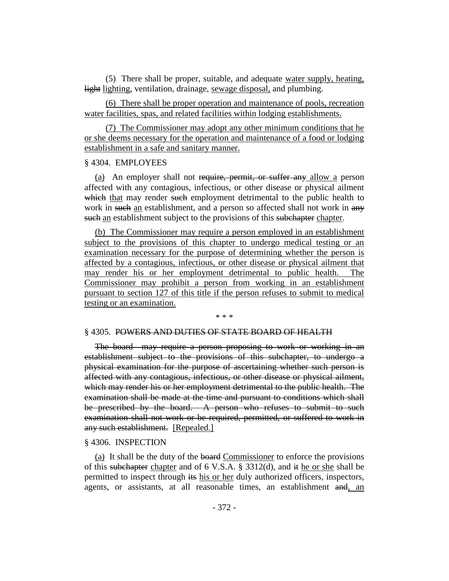(5) There shall be proper, suitable, and adequate water supply, heating, light lighting, ventilation, drainage, sewage disposal, and plumbing.

(6) There shall be proper operation and maintenance of pools, recreation water facilities, spas, and related facilities within lodging establishments.

(7) The Commissioner may adopt any other minimum conditions that he or she deems necessary for the operation and maintenance of a food or lodging establishment in a safe and sanitary manner.

#### § 4304. EMPLOYEES

(a) An employer shall not require, permit, or suffer any allow a person affected with any contagious, infectious, or other disease or physical ailment which that may render such employment detrimental to the public health to work in such an establishment, and a person so affected shall not work in any such an establishment subject to the provisions of this subchapter chapter.

(b) The Commissioner may require a person employed in an establishment subject to the provisions of this chapter to undergo medical testing or an examination necessary for the purpose of determining whether the person is affected by a contagious, infectious, or other disease or physical ailment that may render his or her employment detrimental to public health. The Commissioner may prohibit a person from working in an establishment pursuant to section 127 of this title if the person refuses to submit to medical testing or an examination.

#### \* \* \*

#### § 4305. POWERS AND DUTIES OF STATE BOARD OF HEALTH

The board may require a person proposing to work or working in an establishment subject to the provisions of this subchapter, to undergo a physical examination for the purpose of ascertaining whether such person is affected with any contagious, infectious, or other disease or physical ailment, which may render his or her employment detrimental to the public health. The examination shall be made at the time and pursuant to conditions which shall be prescribed by the board. A person who refuses to submit to such examination shall not work or be required, permitted, or suffered to work in any such establishment. [Repealed.]

#### § 4306. INSPECTION

(a) It shall be the duty of the board Commissioner to enforce the provisions of this subchapter chapter and of 6 V.S.A. § 3312(d), and it he or she shall be permitted to inspect through its his or her duly authorized officers, inspectors, agents, or assistants, at all reasonable times, an establishment and, an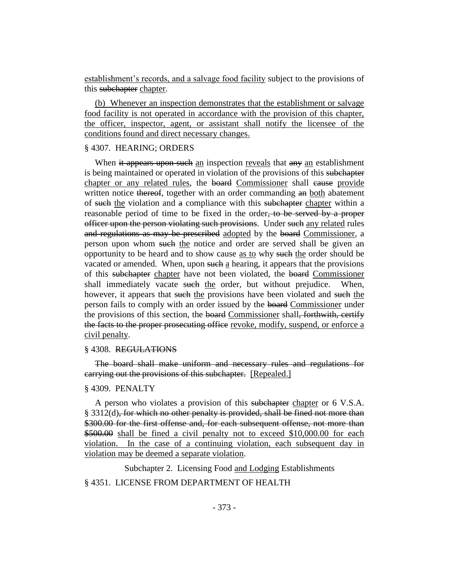establishment's records, and a salvage food facility subject to the provisions of this subchapter chapter.

(b) Whenever an inspection demonstrates that the establishment or salvage food facility is not operated in accordance with the provision of this chapter, the officer, inspector, agent, or assistant shall notify the licensee of the conditions found and direct necessary changes.

#### § 4307. HEARING; ORDERS

When it appears upon such an inspection reveals that any an establishment is being maintained or operated in violation of the provisions of this subchapter chapter or any related rules, the board Commissioner shall cause provide written notice thereof, together with an order commanding an both abatement of such the violation and a compliance with this subchapter chapter within a reasonable period of time to be fixed in the order, to be served by a proper officer upon the person violating such provisions. Under such any related rules and regulations as may be prescribed adopted by the board Commissioner, a person upon whom such the notice and order are served shall be given an opportunity to be heard and to show cause as to why such the order should be vacated or amended. When, upon such a hearing, it appears that the provisions of this subchapter chapter have not been violated, the board Commissioner shall immediately vacate such the order, but without prejudice. When, however, it appears that such the provisions have been violated and such the person fails to comply with an order issued by the board Commissioner under the provisions of this section, the board Commissioner shall, forthwith, certify the facts to the proper prosecuting office revoke, modify, suspend, or enforce a civil penalty.

#### § 4308. REGULATIONS

The board shall make uniform and necessary rules and regulations for carrying out the provisions of this subchapter. [Repealed.]

#### § 4309. PENALTY

A person who violates a provision of this subchapter chapter or 6 V.S.A. § 3312(d), for which no other penalty is provided, shall be fined not more than \$300.00 for the first offense and, for each subsequent offense, not more than \$500.00 shall be fined a civil penalty not to exceed \$10,000.00 for each violation. In the case of a continuing violation, each subsequent day in violation may be deemed a separate violation.

Subchapter 2. Licensing Food and Lodging Establishments

## § 4351. LICENSE FROM DEPARTMENT OF HEALTH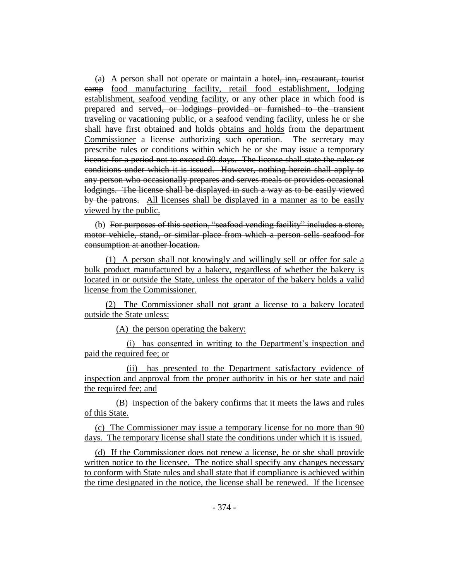(a) A person shall not operate or maintain a hotel, inn, restaurant, tourist camp food manufacturing facility, retail food establishment, lodging establishment, seafood vending facility, or any other place in which food is prepared and served, or lodgings provided or furnished to the transient traveling or vacationing public, or a seafood vending facility, unless he or she shall have first obtained and holds obtains and holds from the department Commissioner a license authorizing such operation. The secretary may prescribe rules or conditions within which he or she may issue a temporary license for a period not to exceed 60 days. The license shall state the rules or conditions under which it is issued. However, nothing herein shall apply to any person who occasionally prepares and serves meals or provides occasional lodgings. The license shall be displayed in such a way as to be easily viewed by the patrons. All licenses shall be displayed in a manner as to be easily viewed by the public.

(b) For purposes of this section, "seafood vending facility" includes a store, motor vehicle, stand, or similar place from which a person sells seafood for consumption at another location.

(1) A person shall not knowingly and willingly sell or offer for sale a bulk product manufactured by a bakery, regardless of whether the bakery is located in or outside the State, unless the operator of the bakery holds a valid license from the Commissioner.

(2) The Commissioner shall not grant a license to a bakery located outside the State unless:

(A) the person operating the bakery:

(i) has consented in writing to the Department's inspection and paid the required fee; or

(ii) has presented to the Department satisfactory evidence of inspection and approval from the proper authority in his or her state and paid the required fee; and

(B) inspection of the bakery confirms that it meets the laws and rules of this State.

(c) The Commissioner may issue a temporary license for no more than 90 days. The temporary license shall state the conditions under which it is issued.

(d) If the Commissioner does not renew a license, he or she shall provide written notice to the licensee. The notice shall specify any changes necessary to conform with State rules and shall state that if compliance is achieved within the time designated in the notice, the license shall be renewed. If the licensee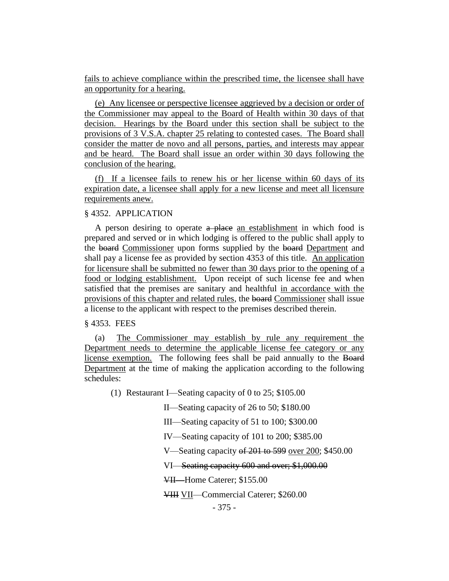fails to achieve compliance within the prescribed time, the licensee shall have an opportunity for a hearing.

(e) Any licensee or perspective licensee aggrieved by a decision or order of the Commissioner may appeal to the Board of Health within 30 days of that decision. Hearings by the Board under this section shall be subject to the provisions of 3 V.S.A. chapter 25 relating to contested cases. The Board shall consider the matter de novo and all persons, parties, and interests may appear and be heard. The Board shall issue an order within 30 days following the conclusion of the hearing.

(f) If a licensee fails to renew his or her license within 60 days of its expiration date, a licensee shall apply for a new license and meet all licensure requirements anew.

## § 4352. APPLICATION

A person desiring to operate  $a$  place an establishment in which food is prepared and served or in which lodging is offered to the public shall apply to the board Commissioner upon forms supplied by the board Department and shall pay a license fee as provided by section 4353 of this title. An application for licensure shall be submitted no fewer than 30 days prior to the opening of a food or lodging establishment. Upon receipt of such license fee and when satisfied that the premises are sanitary and healthful in accordance with the provisions of this chapter and related rules, the board Commissioner shall issue a license to the applicant with respect to the premises described therein.

§ 4353. FEES

(a) The Commissioner may establish by rule any requirement the Department needs to determine the applicable license fee category or any license exemption. The following fees shall be paid annually to the Board Department at the time of making the application according to the following schedules:

(1) Restaurant I—Seating capacity of 0 to 25; \$105.00

II—Seating capacity of 26 to 50; \$180.00

III—Seating capacity of 51 to 100; \$300.00

IV—Seating capacity of 101 to 200; \$385.00

V—Seating capacity of 201 to 599 over 200; \$450.00

VI—Seating capacity 600 and over; \$1,000.00

VII—Home Caterer; \$155.00

VIII VII—Commercial Caterer; \$260.00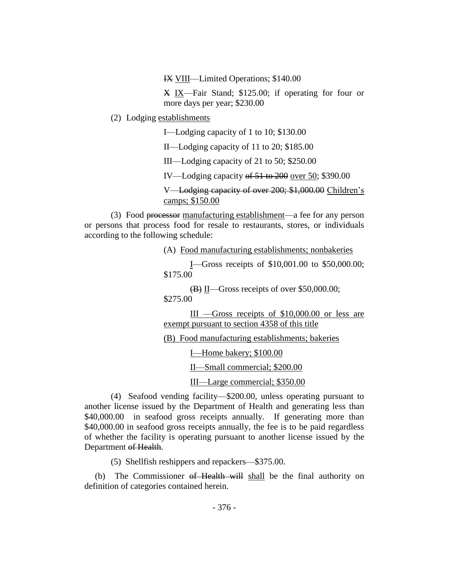IX VIII—Limited Operations; \$140.00

X IX—Fair Stand; \$125.00; if operating for four or more days per year; \$230.00

(2) Lodging establishments

I—Lodging capacity of 1 to 10; \$130.00

II—Lodging capacity of 11 to 20; \$185.00

III—Lodging capacity of 21 to 50; \$250.00

IV—Lodging capacity of 51 to 200 over 50; \$390.00

V—Lodging capacity of over 200; \$1,000.00 Children's camps; \$150.00

(3) Food processor manufacturing establishment—a fee for any person or persons that process food for resale to restaurants, stores, or individuals according to the following schedule:

(A) Food manufacturing establishments; nonbakeries

I—Gross receipts of \$10,001.00 to \$50,000.00; \$175.00

(B) II—Gross receipts of over \$50,000.00; \$275.00

III —Gross receipts of \$10,000.00 or less are exempt pursuant to section 4358 of this title

(B) Food manufacturing establishments; bakeries

I—Home bakery; \$100.00

II—Small commercial; \$200.00

III—Large commercial; \$350.00

(4) Seafood vending facility—\$200.00, unless operating pursuant to another license issued by the Department of Health and generating less than \$40,000.00 in seafood gross receipts annually. If generating more than \$40,000.00 in seafood gross receipts annually, the fee is to be paid regardless of whether the facility is operating pursuant to another license issued by the Department of Health.

(5) Shellfish reshippers and repackers—\$375.00.

(b) The Commissioner of Health will shall be the final authority on definition of categories contained herein.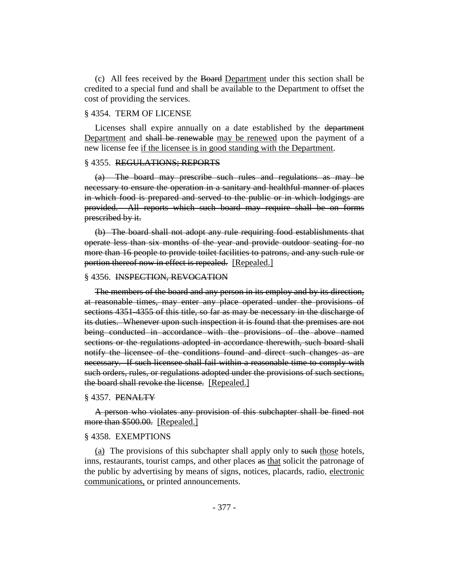(c) All fees received by the Board Department under this section shall be credited to a special fund and shall be available to the Department to offset the cost of providing the services.

## § 4354. TERM OF LICENSE

Licenses shall expire annually on a date established by the department Department and shall be renewable may be renewed upon the payment of a new license fee if the licensee is in good standing with the Department.

#### § 4355. REGULATIONS; REPORTS

(a) The board may prescribe such rules and regulations as may be necessary to ensure the operation in a sanitary and healthful manner of places in which food is prepared and served to the public or in which lodgings are provided. All reports which such board may require shall be on forms prescribed by it.

(b) The board shall not adopt any rule requiring food establishments that operate less than six months of the year and provide outdoor seating for no more than 16 people to provide toilet facilities to patrons, and any such rule or portion thereof now in effect is repealed. [Repealed.]

#### § 4356. INSPECTION, REVOCATION

The members of the board and any person in its employ and by its direction, at reasonable times, may enter any place operated under the provisions of sections 4351-4355 of this title, so far as may be necessary in the discharge of its duties. Whenever upon such inspection it is found that the premises are not being conducted in accordance with the provisions of the above named sections or the regulations adopted in accordance therewith, such board shall notify the licensee of the conditions found and direct such changes as are necessary. If such licensee shall fail within a reasonable time to comply with such orders, rules, or regulations adopted under the provisions of such sections, the board shall revoke the license. [Repealed.]

#### § 4357. PENALTY

A person who violates any provision of this subchapter shall be fined not more than \$500.00. [Repealed.]

## § 4358. EXEMPTIONS

(a) The provisions of this subchapter shall apply only to such those hotels, inns, restaurants, tourist camps, and other places as that solicit the patronage of the public by advertising by means of signs, notices, placards, radio, electronic communications, or printed announcements.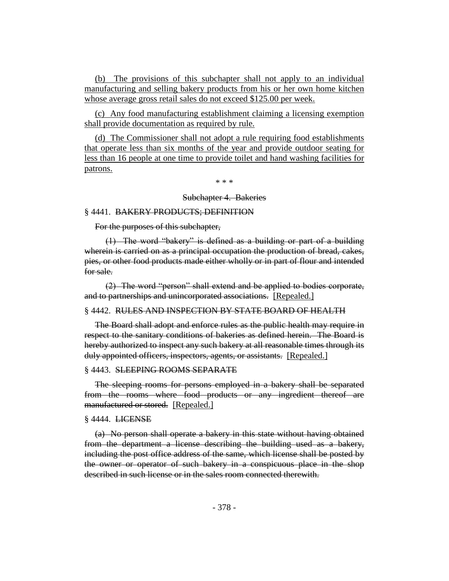(b) The provisions of this subchapter shall not apply to an individual manufacturing and selling bakery products from his or her own home kitchen whose average gross retail sales do not exceed \$125.00 per week.

(c) Any food manufacturing establishment claiming a licensing exemption shall provide documentation as required by rule.

(d) The Commissioner shall not adopt a rule requiring food establishments that operate less than six months of the year and provide outdoor seating for less than 16 people at one time to provide toilet and hand washing facilities for patrons.

\* \* \*

#### Subchapter 4. Bakeries

## § 4441. BAKERY PRODUCTS; DEFINITION

For the purposes of this subchapter,

(1) The word "bakery" is defined as a building or part of a building wherein is carried on as a principal occupation the production of bread, cakes, pies, or other food products made either wholly or in part of flour and intended for sale.

(2) The word "person" shall extend and be applied to bodies corporate, and to partnerships and unincorporated associations. [Repealed.]

## § 4442. RULES AND INSPECTION BY STATE BOARD OF HEALTH

The Board shall adopt and enforce rules as the public health may require in respect to the sanitary conditions of bakeries as defined herein. The Board is hereby authorized to inspect any such bakery at all reasonable times through its duly appointed officers, inspectors, agents, or assistants. [Repealed.]

#### § 4443. SLEEPING ROOMS SEPARATE

The sleeping rooms for persons employed in a bakery shall be separated from the rooms where food products or any ingredient thereof are manufactured or stored. [Repealed.]

#### § 4444. LICENSE

(a) No person shall operate a bakery in this state without having obtained from the department a license describing the building used as a bakery, including the post office address of the same, which license shall be posted by the owner or operator of such bakery in a conspicuous place in the shop described in such license or in the sales room connected therewith.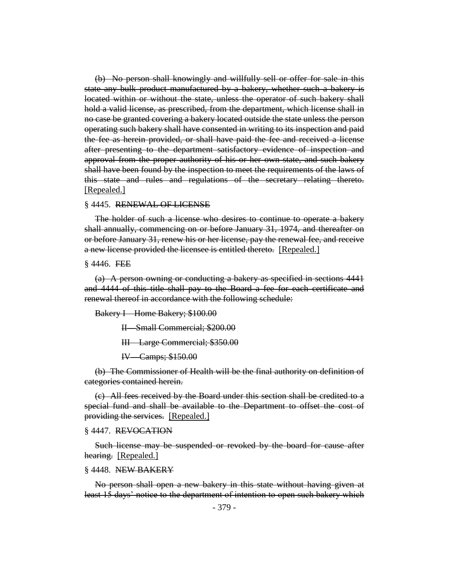(b) No person shall knowingly and willfully sell or offer for sale in this state any bulk product manufactured by a bakery, whether such a bakery is located within or without the state, unless the operator of such bakery shall hold a valid license, as prescribed, from the department, which license shall in no case be granted covering a bakery located outside the state unless the person operating such bakery shall have consented in writing to its inspection and paid the fee as herein provided, or shall have paid the fee and received a license after presenting to the department satisfactory evidence of inspection and approval from the proper authority of his or her own state, and such bakery shall have been found by the inspection to meet the requirements of the laws of this state and rules and regulations of the secretary relating thereto. [Repealed.]

#### § 4445. RENEWAL OF LICENSE

The holder of such a license who desires to continue to operate a bakery shall annually, commencing on or before January 31, 1974, and thereafter on or before January 31, renew his or her license, pay the renewal fee, and receive a new license provided the licensee is entitled thereto. [Repealed.]

 $§$  4446. FEE

(a) A person owning or conducting a bakery as specified in sections 4441 and 4444 of this title shall pay to the Board a fee for each certificate and renewal thereof in accordance with the following schedule:

Bakery I—Home Bakery; \$100.00

II—Small Commercial; \$200.00

III—Large Commercial; \$350.00

IV—Camps; \$150.00

(b) The Commissioner of Health will be the final authority on definition of categories contained herein.

(c) All fees received by the Board under this section shall be credited to a special fund and shall be available to the Department to offset the cost of providing the services. [Repealed.]

#### § 4447. REVOCATION

Such license may be suspended or revoked by the board for cause after hearing. [Repealed.]

#### § 4448. NEW BAKERY

No person shall open a new bakery in this state without having given at least 15 days' notice to the department of intention to open such bakery which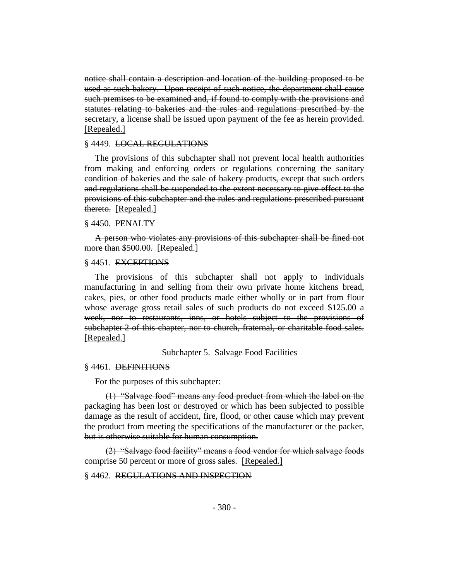notice shall contain a description and location of the building proposed to be used as such bakery. Upon receipt of such notice, the department shall cause such premises to be examined and, if found to comply with the provisions and statutes relating to bakeries and the rules and regulations prescribed by the secretary, a license shall be issued upon payment of the fee as herein provided. [Repealed.]

#### § 4449. LOCAL REGULATIONS

The provisions of this subchapter shall not prevent local health authorities from making and enforcing orders or regulations concerning the sanitary condition of bakeries and the sale of bakery products, except that such orders and regulations shall be suspended to the extent necessary to give effect to the provisions of this subchapter and the rules and regulations prescribed pursuant thereto. [Repealed.]

#### § 4450. PENALTY

A person who violates any provisions of this subchapter shall be fined not more than \$500.00. [Repealed.]

#### § 4451. EXCEPTIONS

The provisions of this subchapter shall not apply to individuals manufacturing in and selling from their own private home kitchens bread, cakes, pies, or other food products made either wholly or in part from flour whose average gross retail sales of such products do not exceed \$125.00 a week, nor to restaurants, inns, or hotels subject to the provisions of subchapter 2 of this chapter, nor to church, fraternal, or charitable food sales. [Repealed.]

Subchapter 5. Salvage Food Facilities

#### § 4461. DEFINITIONS

For the purposes of this subchapter:

(1) "Salvage food" means any food product from which the label on the packaging has been lost or destroyed or which has been subjected to possible damage as the result of accident, fire, flood, or other cause which may prevent the product from meeting the specifications of the manufacturer or the packer, but is otherwise suitable for human consumption.

(2) "Salvage food facility" means a food vendor for which salvage foods comprise 50 percent or more of gross sales. [Repealed.]

§ 4462. REGULATIONS AND INSPECTION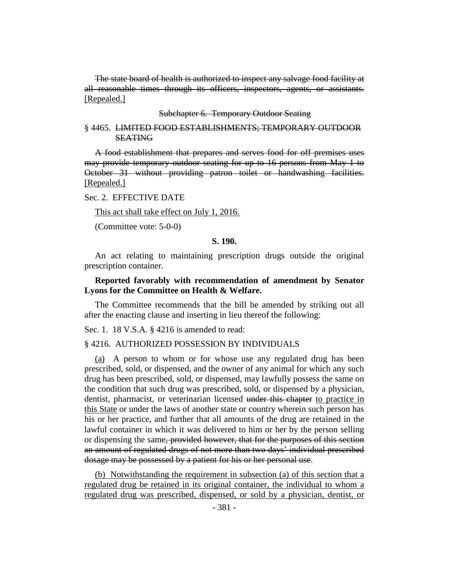The state board of health is authorized to inspect any salvage food facility at all reasonable times through its officers, inspectors, agents, or assistants. [Repealed.]

Subchapter 6. Temporary Outdoor Seating

#### § 4465. LIMITED FOOD ESTABLISHMENTS; TEMPORARY OUTDOOR **SEATING**

A food establishment that prepares and serves food for off premises uses may provide temporary outdoor seating for up to 16 persons from May 1 to October 31 without providing patron toilet or handwashing facilities. [Repealed.]

## Sec. 2. EFFECTIVE DATE

This act shall take effect on July 1, 2016.

(Committee vote: 5-0-0)

## **S. 190.**

An act relating to maintaining prescription drugs outside the original prescription container.

## **Reported favorably with recommendation of amendment by Senator Lyons for the Committee on Health & Welfare.**

The Committee recommends that the bill be amended by striking out all after the enacting clause and inserting in lieu thereof the following:

Sec. 1. 18 V.S.A. § 4216 is amended to read:

## § 4216. AUTHORIZED POSSESSION BY INDIVIDUALS

(a) A person to whom or for whose use any regulated drug has been prescribed, sold, or dispensed, and the owner of any animal for which any such drug has been prescribed, sold, or dispensed, may lawfully possess the same on the condition that such drug was prescribed, sold, or dispensed by a physician, dentist, pharmacist, or veterinarian licensed under this chapter to practice in this State or under the laws of another state or country wherein such person has his or her practice, and further that all amounts of the drug are retained in the lawful container in which it was delivered to him or her by the person selling or dispensing the same, provided however, that for the purposes of this section an amount of regulated drugs of not more than two days' individual prescribed dosage may be possessed by a patient for his or her personal use.

(b) Notwithstanding the requirement in subsection (a) of this section that a regulated drug be retained in its original container, the individual to whom a regulated drug was prescribed, dispensed, or sold by a physician, dentist, or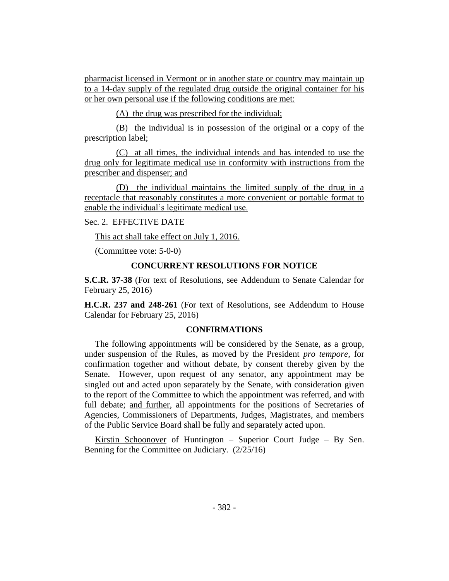pharmacist licensed in Vermont or in another state or country may maintain up to a 14-day supply of the regulated drug outside the original container for his or her own personal use if the following conditions are met:

(A) the drug was prescribed for the individual;

(B) the individual is in possession of the original or a copy of the prescription label;

(C) at all times, the individual intends and has intended to use the drug only for legitimate medical use in conformity with instructions from the prescriber and dispenser; and

(D) the individual maintains the limited supply of the drug in a receptacle that reasonably constitutes a more convenient or portable format to enable the individual's legitimate medical use.

Sec. 2. EFFECTIVE DATE

This act shall take effect on July 1, 2016.

(Committee vote: 5-0-0)

## **CONCURRENT RESOLUTIONS FOR NOTICE**

**S.C.R. 37-38** (For text of Resolutions, see Addendum to Senate Calendar for February 25, 2016)

**H.C.R. 237 and 248-261** (For text of Resolutions, see Addendum to House Calendar for February 25, 2016)

## **CONFIRMATIONS**

The following appointments will be considered by the Senate, as a group, under suspension of the Rules, as moved by the President *pro tempore,* for confirmation together and without debate, by consent thereby given by the Senate. However, upon request of any senator, any appointment may be singled out and acted upon separately by the Senate, with consideration given to the report of the Committee to which the appointment was referred, and with full debate; and further, all appointments for the positions of Secretaries of Agencies, Commissioners of Departments, Judges, Magistrates, and members of the Public Service Board shall be fully and separately acted upon.

Kirstin Schoonover of Huntington – Superior Court Judge – By Sen. Benning for the Committee on Judiciary. (2/25/16)